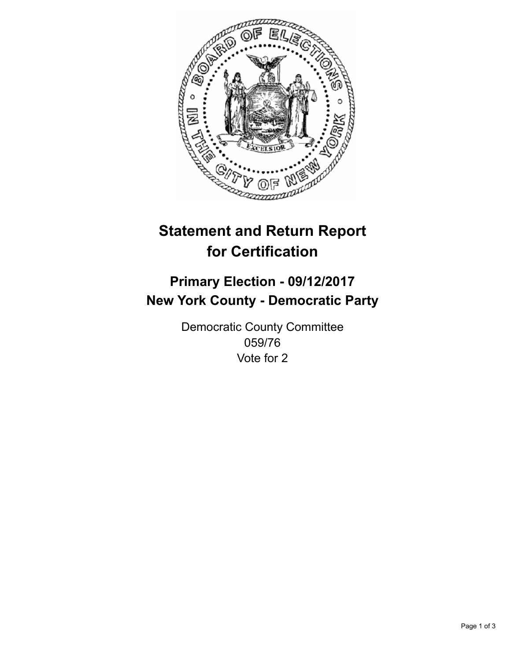

## **Statement and Return Report for Certification**

## **Primary Election - 09/12/2017 New York County - Democratic Party**

Democratic County Committee 059/76 Vote for 2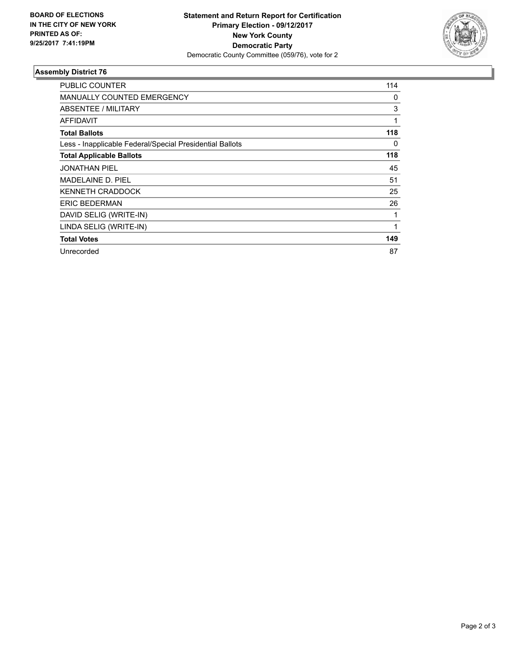

## **Assembly District 76**

| PUBLIC COUNTER                                           | 114 |
|----------------------------------------------------------|-----|
| <b>MANUALLY COUNTED EMERGENCY</b>                        | 0   |
| ABSENTEE / MILITARY                                      | 3   |
| AFFIDAVIT                                                | 1   |
| <b>Total Ballots</b>                                     | 118 |
| Less - Inapplicable Federal/Special Presidential Ballots | 0   |
| <b>Total Applicable Ballots</b>                          | 118 |
| <b>JONATHAN PIEL</b>                                     | 45  |
| MADELAINE D. PIEL                                        | 51  |
| <b>KENNETH CRADDOCK</b>                                  | 25  |
| <b>ERIC BEDERMAN</b>                                     | 26  |
| DAVID SELIG (WRITE-IN)                                   | 1   |
| LINDA SELIG (WRITE-IN)                                   | 1   |
| <b>Total Votes</b>                                       | 149 |
| Unrecorded                                               | 87  |